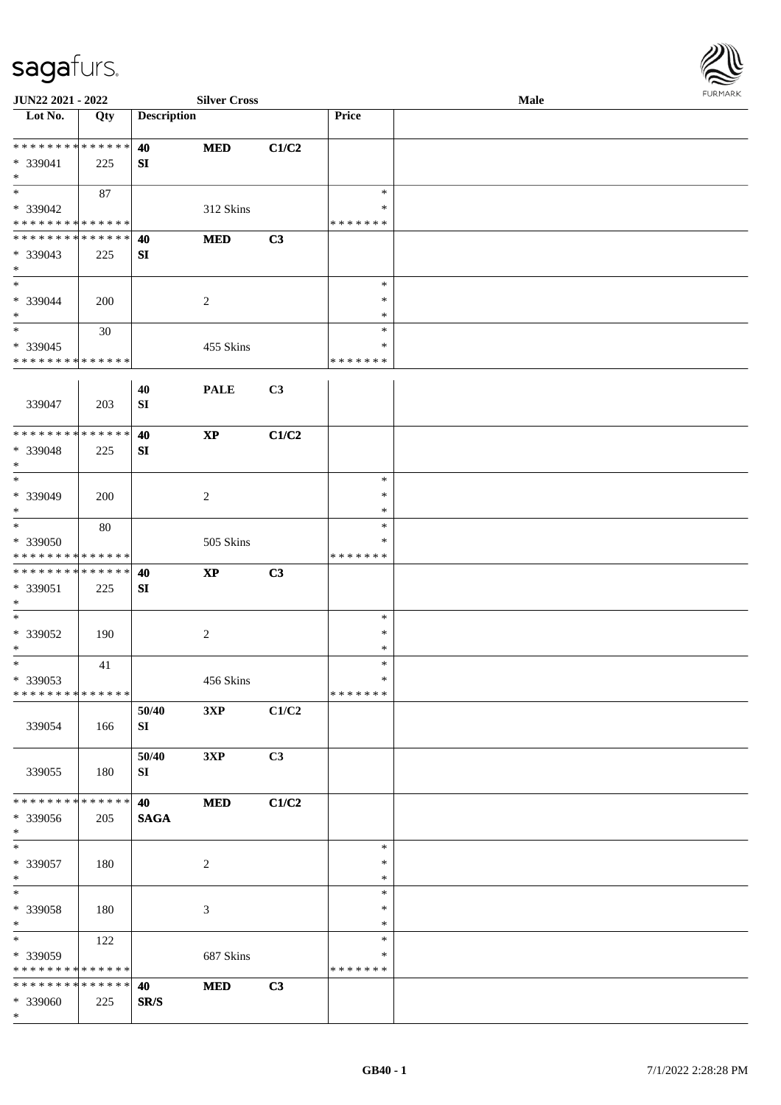

| JUN22 2021 - 2022                                                   |                    |                      | <b>Silver Cross</b>    |       |                                   | Male |  |
|---------------------------------------------------------------------|--------------------|----------------------|------------------------|-------|-----------------------------------|------|--|
| $\overline{\phantom{1}}$ Lot No.                                    | Qty                | <b>Description</b>   |                        |       | Price                             |      |  |
| ******** <mark>******</mark><br>* 339041<br>$\ast$                  | 225                | 40<br>SI             | <b>MED</b>             | C1/C2 |                                   |      |  |
| $\ast$<br>* 339042<br>* * * * * * * * * * * * * *                   | 87                 |                      | 312 Skins              |       | $\ast$<br>∗<br>* * * * * * *      |      |  |
| * * * * * * * * * * * * * *<br>* 339043<br>$\ast$                   | 225                | 40<br>SI             | <b>MED</b>             | C3    |                                   |      |  |
| $\overline{\phantom{a}^*}$<br>* 339044<br>$\ast$                    | 200                |                      | $\overline{c}$         |       | $\ast$<br>$\ast$<br>$\ast$        |      |  |
| $\overline{\phantom{1}}$<br>* 339045<br>* * * * * * * * * * * * * * | 30                 |                      | 455 Skins              |       | $\ast$<br>$\ast$<br>* * * * * * * |      |  |
| 339047                                                              | 203                | $40\,$<br>${\bf SI}$ | <b>PALE</b>            | C3    |                                   |      |  |
| * * * * * * * * * * * * * *<br>* 339048<br>$*$                      | 225                | 40<br>SI             | $\mathbf{X}\mathbf{P}$ | C1/C2 |                                   |      |  |
| $\ast$<br>* 339049<br>$\ast$                                        | 200                |                      | $\overline{c}$         |       | $\ast$<br>$\ast$<br>$\ast$        |      |  |
| $\ast$<br>* 339050<br>* * * * * * * * * * * * * *                   | 80                 |                      | 505 Skins              |       | $\ast$<br>$\ast$<br>* * * * * * * |      |  |
| * * * * * * * * * * * * * *<br>* 339051<br>$\ast$                   | 225                | 40<br>SI             | $\mathbf{XP}$          | C3    |                                   |      |  |
| $\ast$<br>* 339052<br>$\ast$                                        | 190                |                      | $\overline{c}$         |       | $\ast$<br>$\ast$<br>$\ast$        |      |  |
| $_{*}$<br>* 339053<br>* * * * * * * * * * * * * *                   | 41                 |                      | 456 Skins              |       | $\ast$<br>$\ast$<br>*******       |      |  |
| 339054                                                              | 166                | 50/40<br>SI          | 3XP                    | C1/C2 |                                   |      |  |
| 339055                                                              | 180                | 50/40<br>SI          | 3XP                    | C3    |                                   |      |  |
| * * * * * * * *<br>* 339056<br>$\ast$                               | * * * * * *<br>205 | 40<br><b>SAGA</b>    | <b>MED</b>             | C1/C2 |                                   |      |  |
| $\overline{\phantom{0}}$<br>* 339057<br>$\ast$                      | 180                |                      | $\overline{c}$         |       | $\ast$<br>$\ast$<br>$\ast$        |      |  |
| $\ast$<br>* 339058<br>$\ast$                                        | 180                |                      | $\mathfrak{Z}$         |       | $\ast$<br>$\ast$<br>$\ast$        |      |  |
| $_{\ast}^{-}$<br>* 339059<br>* * * * * * * * * * * * * *            | 122                |                      | 687 Skins              |       | $\ast$<br>$\ast$<br>* * * * * * * |      |  |
| * * * * * * * * * * * * * *<br>* 339060<br>$*$                      | 225                | 40<br>SR/S           | $\bf MED$              | C3    |                                   |      |  |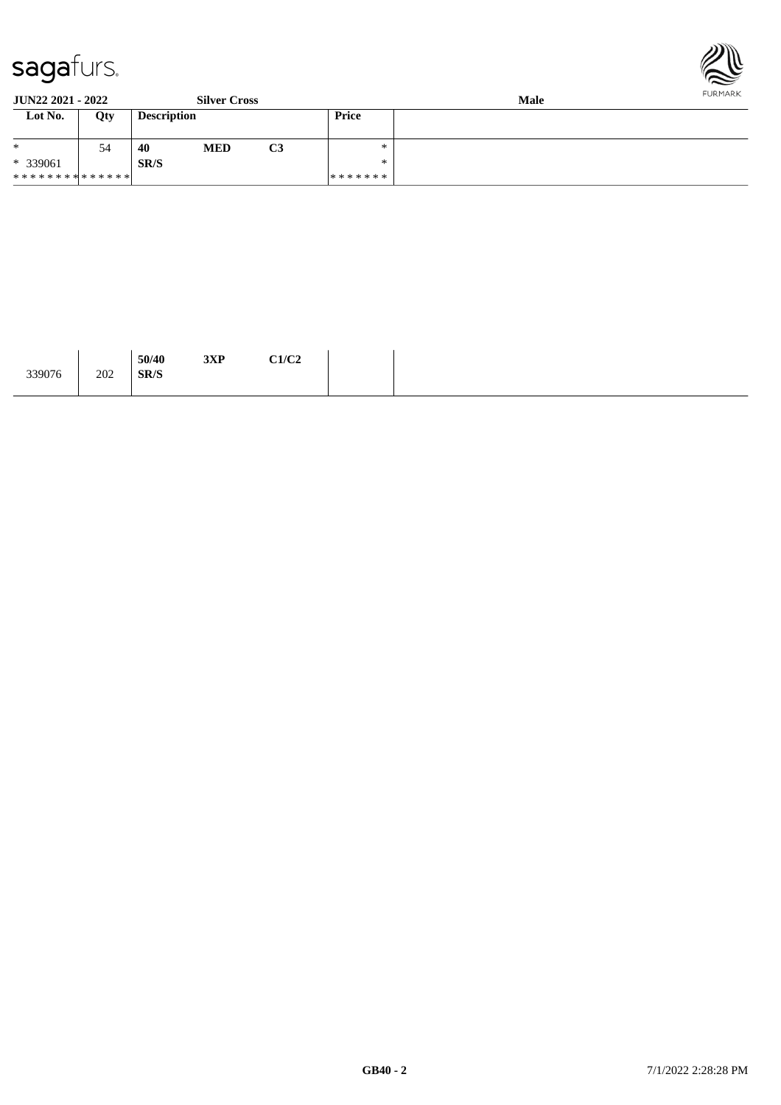



#### **JUN22 2021 - 2022 Silver Cross Male**

| Lot No.                     | Qty | <b>Description</b> |            |    | Price   |  |
|-----------------------------|-----|--------------------|------------|----|---------|--|
| $*$                         | 54  | 40                 | <b>MED</b> | C3 | ∗       |  |
| * 339061                    |     | SR/S               |            |    | ∗       |  |
| * * * * * * * * * * * * * * |     |                    |            |    | ******* |  |

| 339076 | 50/40<br>SR/S<br>202 | $2\mathbf{V} \mathbf{D}$<br>элг | C1/C2 |
|--------|----------------------|---------------------------------|-------|
|--------|----------------------|---------------------------------|-------|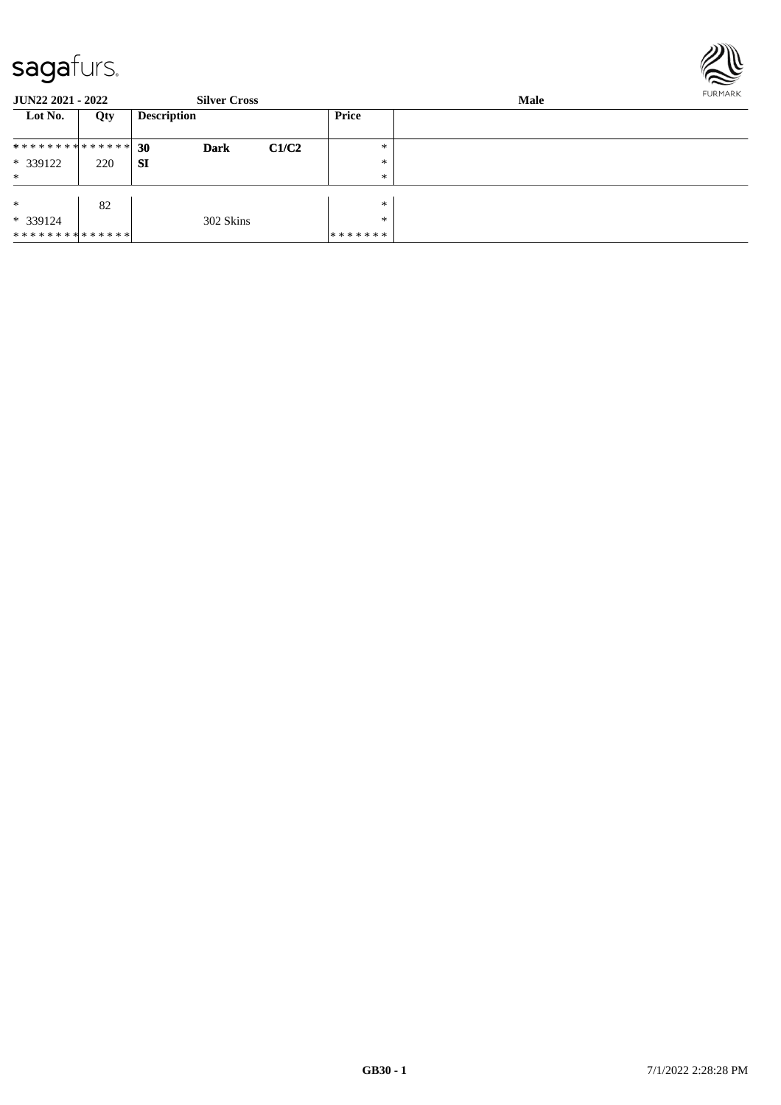

| JUN22 2021 - 2022 |     | <b>Silver Cross</b> |       |         | FURMARK |  |
|-------------------|-----|---------------------|-------|---------|---------|--|
| Lot No.           | Qty | <b>Description</b>  |       | Price   |         |  |
| ************** 30 |     | <b>Dark</b>         | C1/C2 | *       |         |  |
| * 339122          | 220 | -SI                 |       | $\ast$  |         |  |
| $\ast$            |     |                     |       | $\ast$  |         |  |
|                   |     |                     |       |         |         |  |
| $\ast$            | 82  |                     |       | $\ast$  |         |  |
| * 339124          |     | 302 Skins           |       | *       |         |  |
| **************    |     |                     |       | ******* |         |  |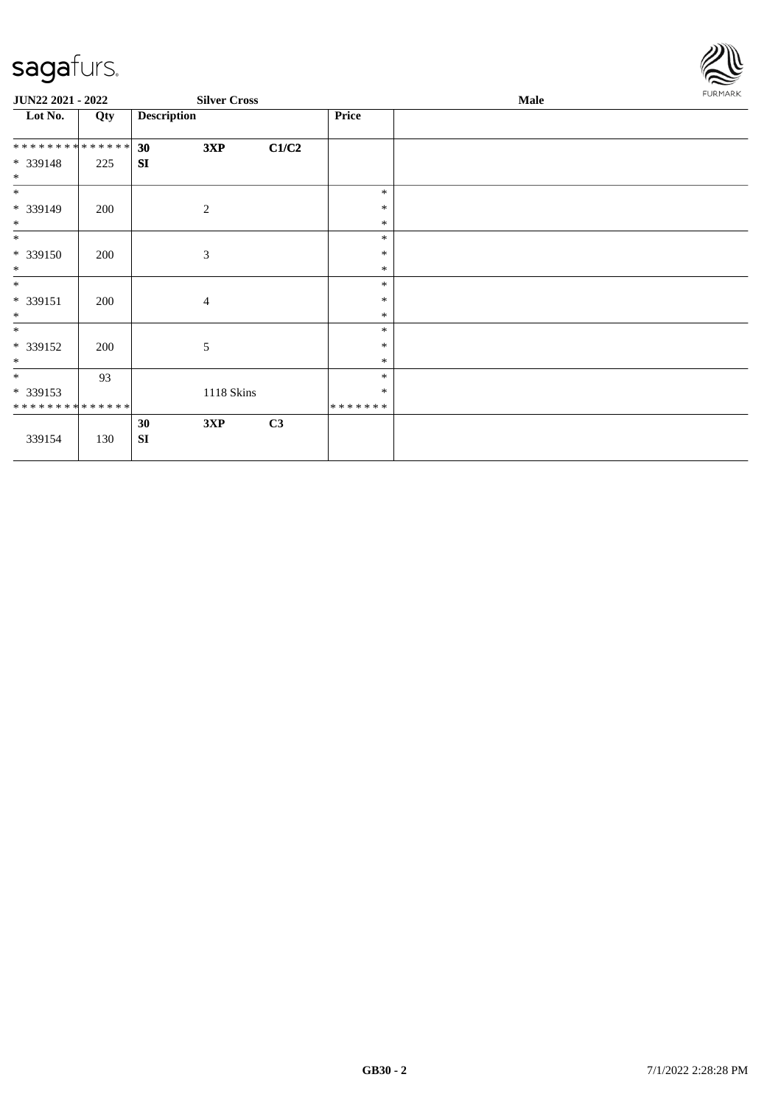

| JUN22 2021 - 2022                       |     |                    | <b>Silver Cross</b> |       |                   | Male | <b>FURMARK</b> |
|-----------------------------------------|-----|--------------------|---------------------|-------|-------------------|------|----------------|
| Lot No.                                 | Qty | <b>Description</b> |                     |       | Price             |      |                |
| **************                          |     | 30                 | 3XP                 | C1/C2 |                   |      |                |
| * 339148<br>$\ast$                      | 225 | SI                 |                     |       |                   |      |                |
| $*$                                     |     |                    |                     |       | $\ast$            |      |                |
| * 339149<br>$*$                         | 200 |                    | 2                   |       | $\ast$<br>$\ast$  |      |                |
| $*$                                     |     |                    |                     |       | $\ast$            |      |                |
| * 339150<br>$\ast$                      | 200 |                    | $\mathfrak{Z}$      |       | $\ast$<br>$\ast$  |      |                |
| $\ast$                                  |     |                    |                     |       | $\ast$            |      |                |
| $* 339151$<br>$*$                       | 200 |                    | 4                   |       | $\ast$<br>$\ast$  |      |                |
| $\ast$                                  |     |                    |                     |       | $\ast$            |      |                |
| * 339152<br>$\ast$                      | 200 |                    | 5                   |       | ∗<br>$\ast$       |      |                |
| $*$                                     | 93  |                    |                     |       | $\ast$            |      |                |
| * 339153<br>* * * * * * * * * * * * * * |     |                    | 1118 Skins          |       | $\ast$<br>******* |      |                |
| 339154                                  | 130 | 30<br><b>SI</b>    | 3XP                 | C3    |                   |      |                |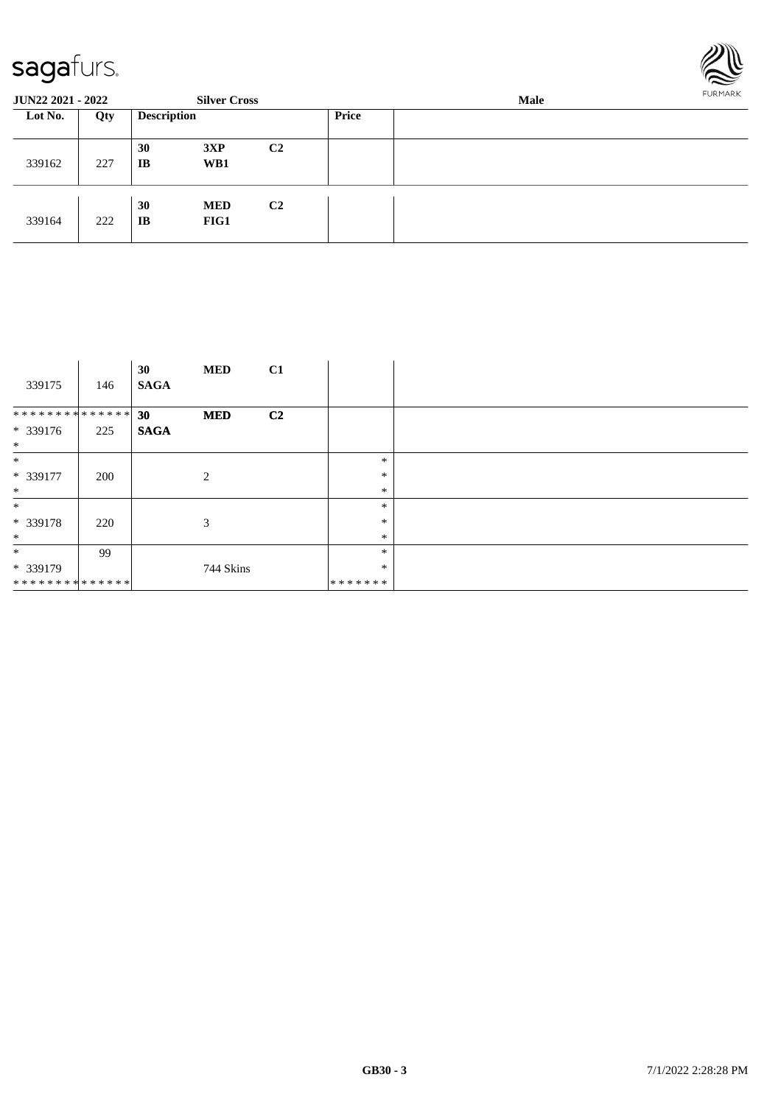

| <b>JUN22 2021 - 2022</b> |     |                    | <b>Silver Cross</b> |                |       | Male |  |  |
|--------------------------|-----|--------------------|---------------------|----------------|-------|------|--|--|
| Lot No.                  | Qty | <b>Description</b> |                     |                | Price |      |  |  |
| 339162                   | 227 | 30<br>IB           | 3XP<br>WB1          | C <sub>2</sub> |       |      |  |  |
| 339164                   | 222 | 30<br>IB           | <b>MED</b><br>FIG1  | C <sub>2</sub> |       |      |  |  |

| 339175                                 | 146 | 30<br><b>SAGA</b> | <b>MED</b> | C1             |                                   |  |
|----------------------------------------|-----|-------------------|------------|----------------|-----------------------------------|--|
| **************<br>$* 339176$<br>$\ast$ | 225 | 30<br><b>SAGA</b> | <b>MED</b> | C <sub>2</sub> |                                   |  |
| $\ast$<br>* 339177<br>$\ast$           | 200 |                   | 2          |                | $\ast$<br>$\ast$<br>$\ast$        |  |
| $\ast$<br>* 339178<br>$\ast$           | 220 |                   | 3          |                | $\ast$<br>$\ast$<br>$\ast$        |  |
| $\ast$<br>* 339179<br>**************   | 99  |                   | 744 Skins  |                | $\ast$<br>$\ast$<br>* * * * * * * |  |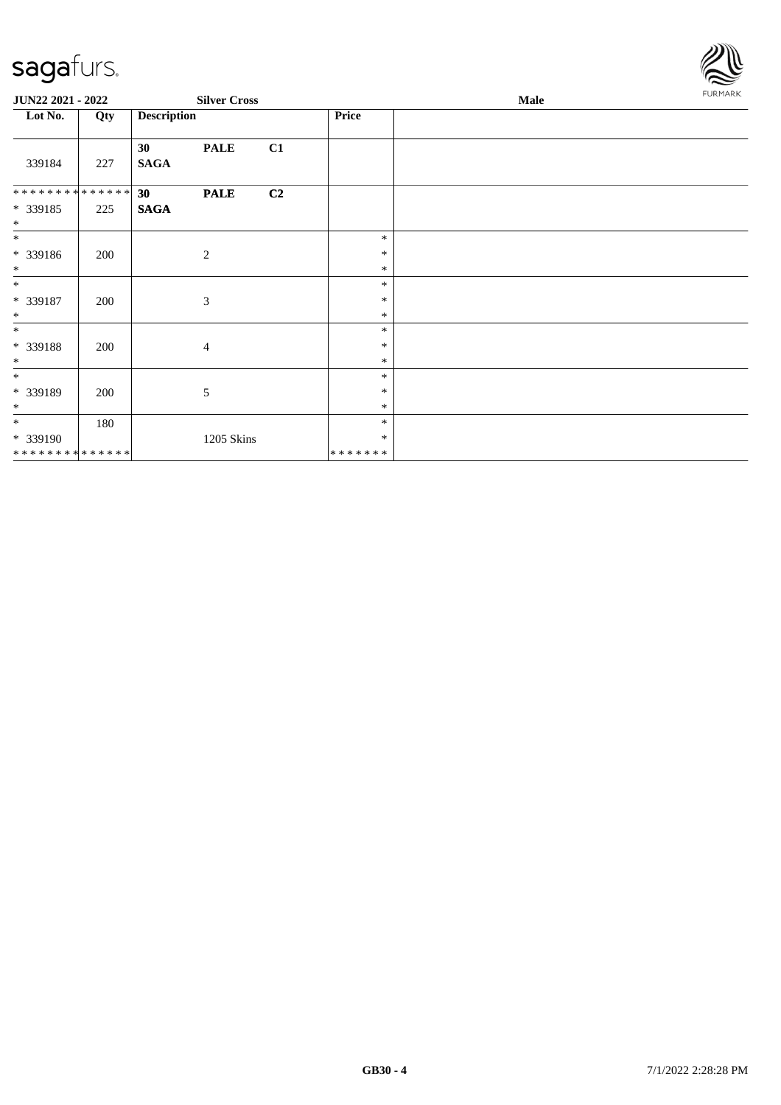

| JUN22 2021 - 2022            |     | <b>Silver Cross</b>                    |                  | <b>Male</b> | <b>FURMARK</b> |
|------------------------------|-----|----------------------------------------|------------------|-------------|----------------|
| Lot No.                      | Qty | <b>Description</b>                     | Price            |             |                |
| 339184                       | 227 | <b>PALE</b><br>C1<br>30<br><b>SAGA</b> |                  |             |                |
| ******** <mark>******</mark> |     | C2<br>30<br><b>PALE</b>                |                  |             |                |
| * 339185<br>$*$              | 225 | <b>SAGA</b>                            |                  |             |                |
| $*$                          |     |                                        | $\ast$           |             |                |
| * 339186<br>$\ast$           | 200 | 2                                      | ∗<br>∗           |             |                |
| $*$                          |     |                                        | $\ast$           |             |                |
| * 339187                     | 200 | 3                                      | ∗                |             |                |
| $\ast$                       |     |                                        | $\ast$           |             |                |
| $*$                          |     |                                        | $\ast$           |             |                |
| * 339188                     | 200 | $\overline{4}$                         | $\ast$           |             |                |
| $\ast$<br>$\ast$             |     |                                        | $\ast$<br>$\ast$ |             |                |
| * 339189<br>$*$              | 200 | 5                                      | $\ast$<br>$\ast$ |             |                |
| $*$                          | 180 |                                        | $\ast$           |             |                |
| * 339190                     |     | 1205 Skins                             | ∗                |             |                |
| ******** <mark>******</mark> |     |                                        | *******          |             |                |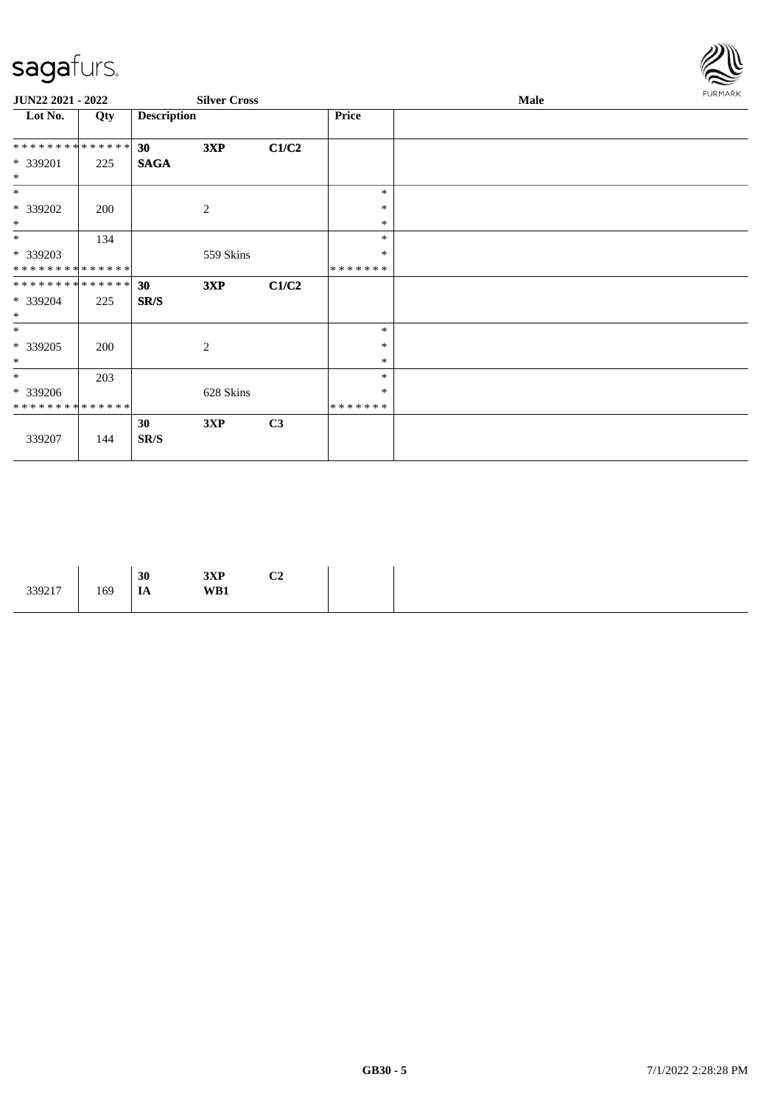

| JUN22 2021 - 2022  |     |                    | <b>Silver Cross</b> |       |         | <b>Male</b> | FURMARK |
|--------------------|-----|--------------------|---------------------|-------|---------|-------------|---------|
| Lot No.            | Qty | <b>Description</b> |                     |       | Price   |             |         |
| **************     |     | 30                 | 3XP                 | C1/C2 |         |             |         |
| * 339201<br>$\ast$ | 225 | <b>SAGA</b>        |                     |       |         |             |         |
| $\ast$             |     |                    |                     |       | $\ast$  |             |         |
| * 339202           | 200 |                    | $\overline{c}$      |       | $\ast$  |             |         |
| $*$                |     |                    |                     |       | $\ast$  |             |         |
| $*$                | 134 |                    |                     |       | $\ast$  |             |         |
| * 339203           |     |                    | 559 Skins           |       | $\ast$  |             |         |
| **************     |     |                    |                     |       | ******* |             |         |
| **************     |     | 30 <sup>°</sup>    | 3XP                 | C1/C2 |         |             |         |
| * 339204<br>$*$    | 225 | SR/S               |                     |       |         |             |         |
| $\ast$             |     |                    |                     |       | $\ast$  |             |         |
| * 339205           | 200 |                    | 2                   |       | $\ast$  |             |         |
| $\ast$             |     |                    |                     |       | $\ast$  |             |         |
| $*$                | 203 |                    |                     |       | $\ast$  |             |         |
| * 339206           |     |                    | 628 Skins           |       | $\ast$  |             |         |
| **************     |     |                    |                     |       | ******* |             |         |
| 339207             | 144 | 30<br>SR/S         | 3XP                 | C3    |         |             |         |

|--|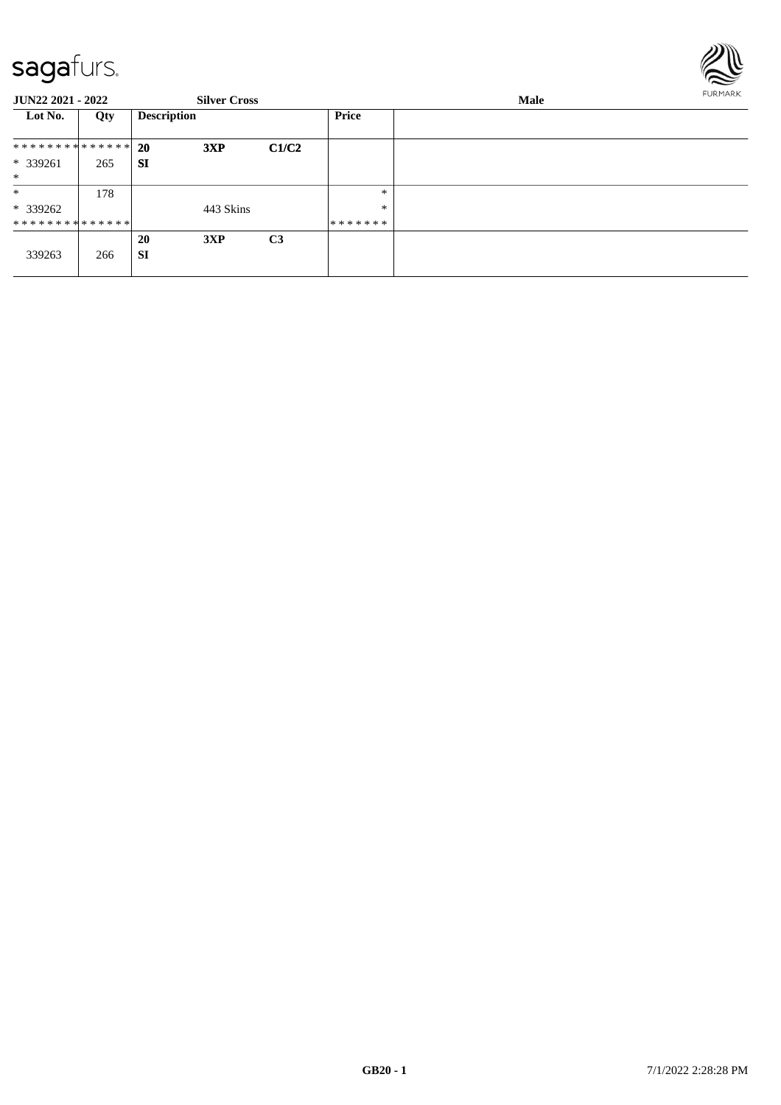

| <b>JUN22 2021 - 2022</b>      |     |                    | <b>Silver Cross</b> |                | Male         |  |  |
|-------------------------------|-----|--------------------|---------------------|----------------|--------------|--|--|
| Lot No.                       | Qty | <b>Description</b> |                     |                | <b>Price</b> |  |  |
| * * * * * * * * * * * * * * * |     | <b>20</b>          | 3XP                 | C1/C2          |              |  |  |
| * 339261<br>$*$               | 265 | <b>SI</b>          |                     |                |              |  |  |
| $\ast$                        | 178 |                    |                     |                | $\ast$       |  |  |
| * 339262                      |     |                    | 443 Skins           |                | $\ast$       |  |  |
| * * * * * * * * * * * * * * * |     |                    |                     |                | *******      |  |  |
| 339263                        | 266 | 20<br><b>SI</b>    | 3XP                 | C <sub>3</sub> |              |  |  |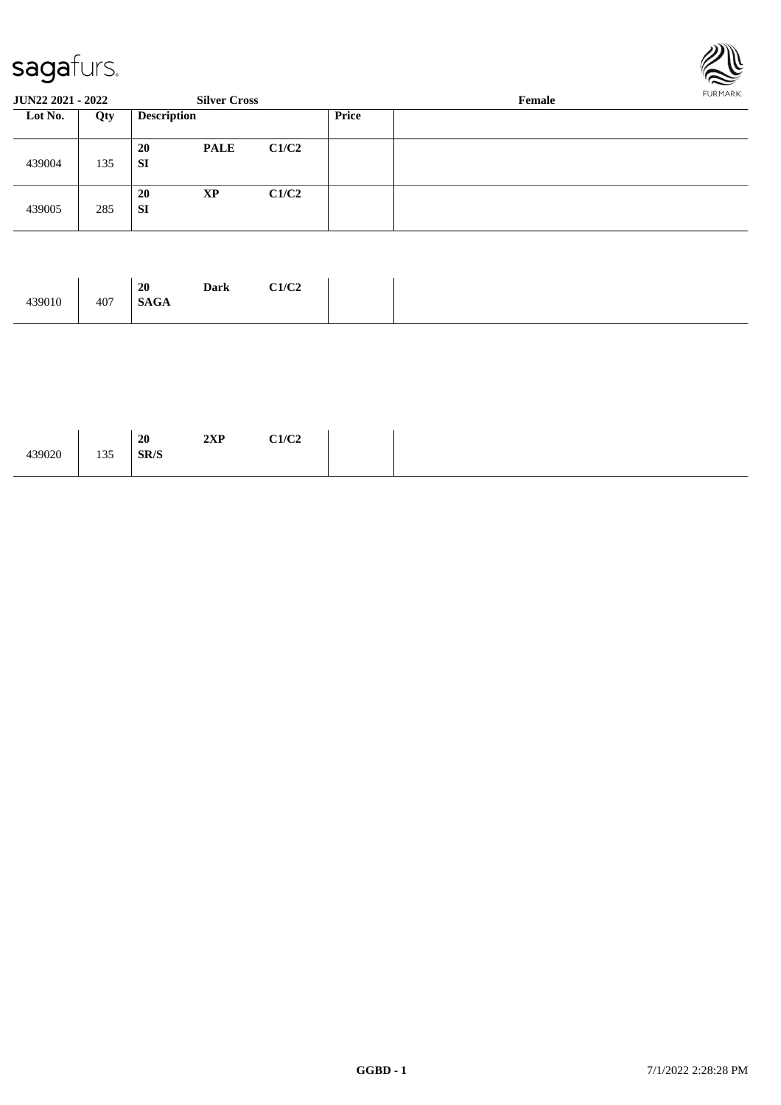

| <b>JUN22 2021 - 2022</b><br><b>Silver Cross</b> |     | Female             | FURMARK     |       |       |  |  |
|-------------------------------------------------|-----|--------------------|-------------|-------|-------|--|--|
| Lot No.                                         | Qty | <b>Description</b> |             |       | Price |  |  |
| 439004                                          | 135 | 20<br>SI           | <b>PALE</b> | C1/C2 |       |  |  |
| 439005                                          | 285 | 20<br>SI           | <b>XP</b>   | C1/C2 |       |  |  |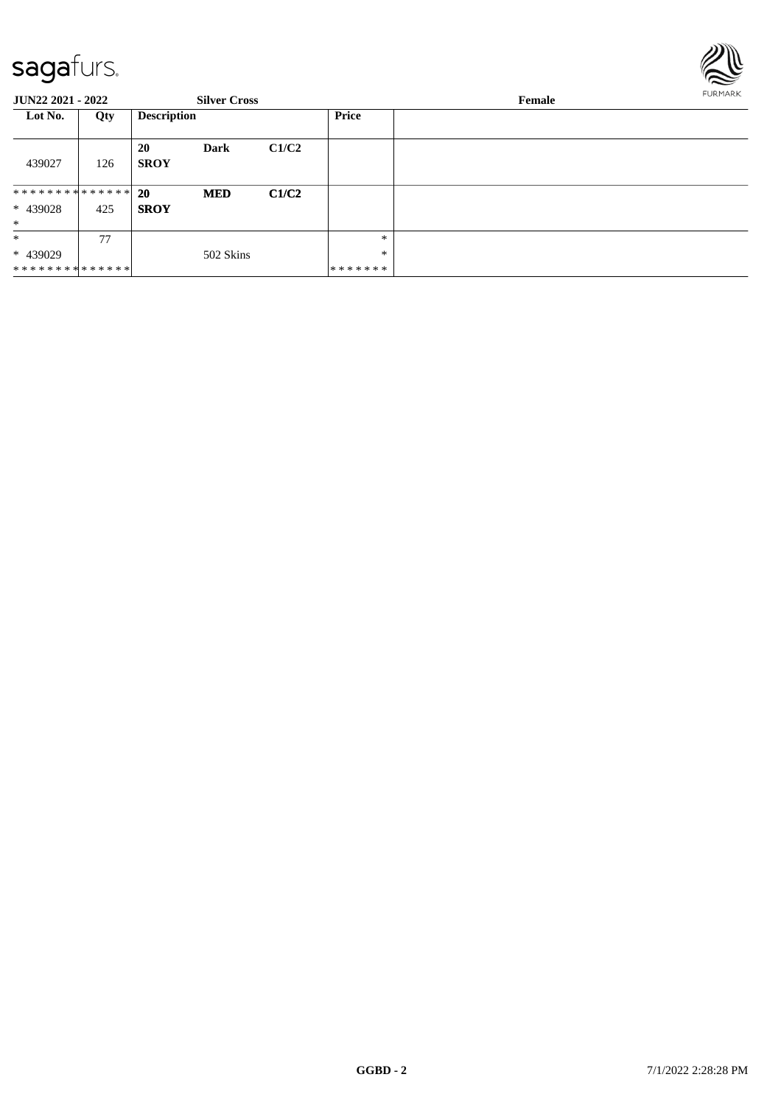

| <b>JUN22 2021 - 2022</b>                         |     |                          | <b>Silver Cross</b> |       |                        | Female | <b>FURMARK</b> |
|--------------------------------------------------|-----|--------------------------|---------------------|-------|------------------------|--------|----------------|
| Lot No.                                          | Qty | <b>Description</b>       |                     |       | Price                  |        |                |
| 439027                                           | 126 | <b>20</b><br><b>SROY</b> | Dark                | C1/C2 |                        |        |                |
| * * * * * * * * * * * * * * *<br>* 439028<br>$*$ | 425 | <b>20</b><br><b>SROY</b> | <b>MED</b>          | C1/C2 |                        |        |                |
| $*$<br>* 439029<br>* * * * * * * * * * * * * * * | 77  |                          | 502 Skins           |       | *<br>$\ast$<br>******* |        |                |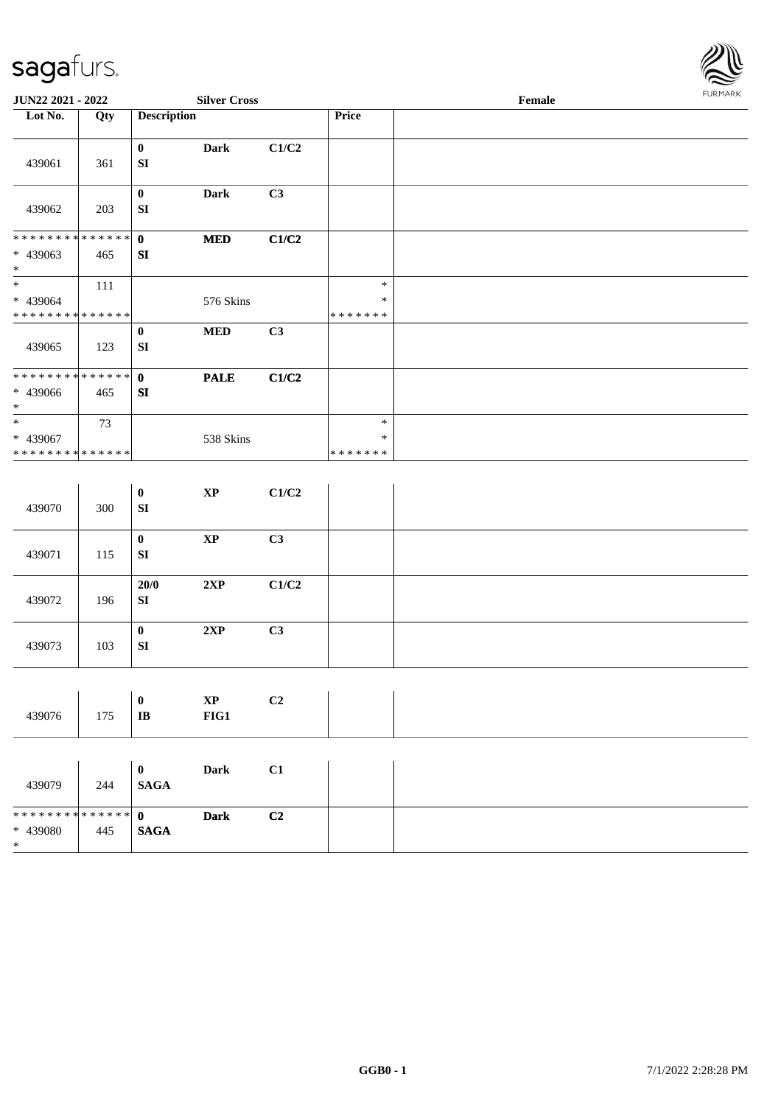

| JUN22 2021 - 2022                          |     |                                  | <b>Silver Cross</b> |       |                  | Female | <b>FURMARK</b> |
|--------------------------------------------|-----|----------------------------------|---------------------|-------|------------------|--------|----------------|
| Lot No.                                    | Qty | <b>Description</b>               |                     |       | Price            |        |                |
|                                            |     |                                  |                     |       |                  |        |                |
| 439061                                     | 361 | $\bf{0}$<br>${\bf SI}$           | <b>Dark</b>         | C1/C2 |                  |        |                |
|                                            |     |                                  |                     |       |                  |        |                |
|                                            |     | $\boldsymbol{0}$                 | <b>Dark</b>         | C3    |                  |        |                |
| 439062                                     | 203 | SI                               |                     |       |                  |        |                |
| * * * * * * * * * * * * * * *              |     | $\mathbf{0}$                     | $\bf MED$           | C1/C2 |                  |        |                |
| * 439063                                   | 465 | SI                               |                     |       |                  |        |                |
| $*$                                        |     |                                  |                     |       |                  |        |                |
| $*$                                        | 111 |                                  |                     |       | $\ast$<br>$\ast$ |        |                |
| * 439064<br>* * * * * * * * * * * * * *    |     |                                  | 576 Skins           |       | *******          |        |                |
|                                            |     | $\bf{0}$                         | $\bf MED$           | C3    |                  |        |                |
| 439065                                     | 123 | SI                               |                     |       |                  |        |                |
| * * * * * * * * <mark>* * * * * * *</mark> |     |                                  |                     |       |                  |        |                |
| * 439066                                   | 465 | $\mathbf{0}$<br>SI               | <b>PALE</b>         | C1/C2 |                  |        |                |
| $*$                                        |     |                                  |                     |       |                  |        |                |
| $\overline{\ast}$                          | 73  |                                  |                     |       | $\ast$           |        |                |
| * 439067                                   |     |                                  | 538 Skins           |       | $\ast$           |        |                |
| * * * * * * * * * * * * * *                |     |                                  |                     |       | * * * * * * *    |        |                |
|                                            |     |                                  |                     |       |                  |        |                |
|                                            |     | $\boldsymbol{0}$                 | $\bold{XP}$         | C1/C2 |                  |        |                |
| 439070                                     | 300 | ${\bf SI}$                       |                     |       |                  |        |                |
|                                            |     | $\pmb{0}$                        | $\bold{XP}$         | C3    |                  |        |                |
| 439071                                     | 115 | ${\bf SI}$                       |                     |       |                  |        |                |
|                                            |     |                                  |                     |       |                  |        |                |
| 439072                                     | 196 | 20/0<br>${\bf S}{\bf I}$         | 2XP                 | C1/C2 |                  |        |                |
|                                            |     |                                  |                     |       |                  |        |                |
|                                            |     | $\bf{0}$                         | 2XP                 | C3    |                  |        |                |
| 439073                                     | 103 | ${\bf S}{\bf I}$                 |                     |       |                  |        |                |
|                                            |     |                                  |                     |       |                  |        |                |
|                                            |     |                                  |                     |       |                  |        |                |
| 439076                                     | 175 | $\boldsymbol{0}$<br>$\bf I\bf B$ | $\bold{XP}$<br>FIG1 | C2    |                  |        |                |
|                                            |     |                                  |                     |       |                  |        |                |
|                                            |     |                                  |                     |       |                  |        |                |
|                                            |     | $\mathbf{0}$                     | <b>Dark</b>         | C1    |                  |        |                |
| 439079                                     | 244 | <b>SAGA</b>                      |                     |       |                  |        |                |
|                                            |     |                                  |                     |       |                  |        |                |
| * * * * * * * * * * * * * *                |     | $\mathbf{0}$                     | <b>Dark</b>         | C2    |                  |        |                |
| * 439080<br>$\ast$                         | 445 | <b>SAGA</b>                      |                     |       |                  |        |                |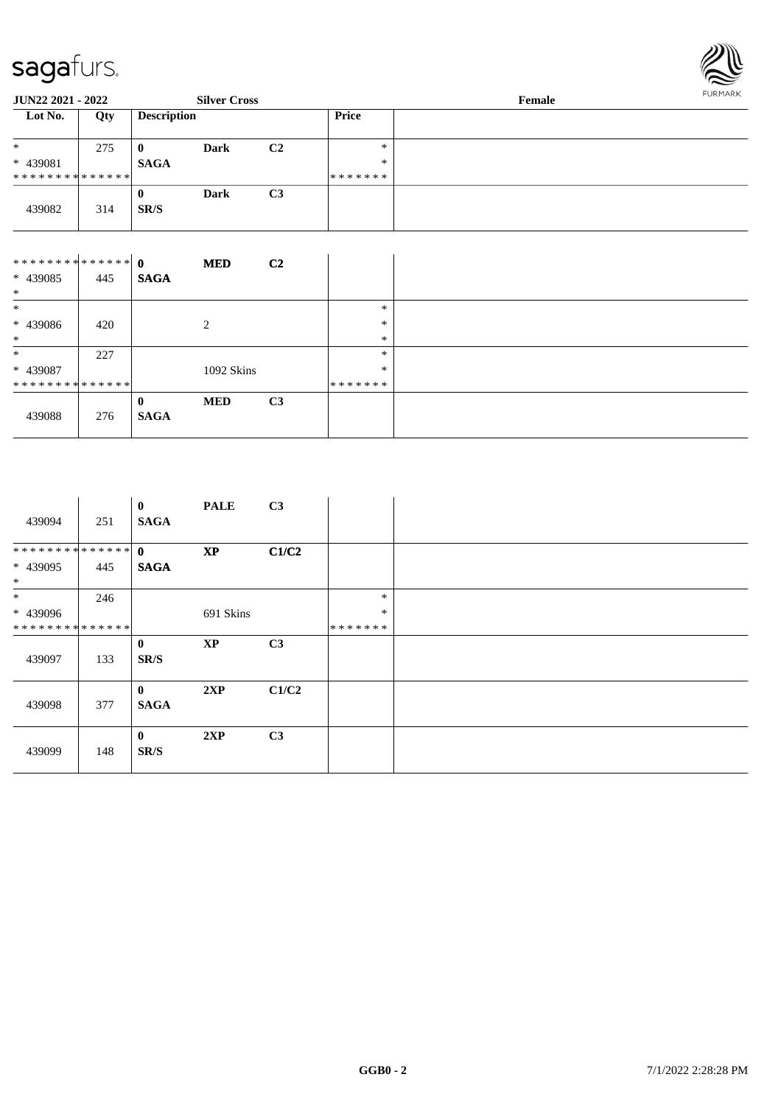

| <b>JUN22 2021 - 2022</b>      |     |                    | <b>Silver Cross</b> |                |              | Female | <b>FURMARK</b> |
|-------------------------------|-----|--------------------|---------------------|----------------|--------------|--------|----------------|
| Lot No.                       | Qty | <b>Description</b> |                     |                | <b>Price</b> |        |                |
| *                             | 275 | $\bf{0}$           | Dark                | C <sub>2</sub> | $*$          |        |                |
| * 439081                      |     | <b>SAGA</b>        |                     |                | $\ast$       |        |                |
| * * * * * * * * * * * * * * * |     |                    |                     |                | *******      |        |                |
|                               |     | $\bf{0}$           | Dark                | C <sub>3</sub> |              |        |                |
| 439082                        | 314 | SR/S               |                     |                |              |        |                |

| ************** 0 |     |             | <b>MED</b> | C <sub>2</sub> |         |  |
|------------------|-----|-------------|------------|----------------|---------|--|
| * 439085         | 445 | <b>SAGA</b> |            |                |         |  |
| $\ast$           |     |             |            |                |         |  |
| $\ast$           |     |             |            |                | $\ast$  |  |
| $* 439086$       | 420 |             | 2          |                | $\ast$  |  |
| $\ast$           |     |             |            |                | $\ast$  |  |
| $\ast$           | 227 |             |            |                | $\ast$  |  |
| * 439087         |     |             | 1092 Skins |                | $\ast$  |  |
| **************   |     |             |            |                | ******* |  |
|                  |     | $\mathbf 0$ | <b>MED</b> | C <sub>3</sub> |         |  |
| 439088           | 276 | <b>SAGA</b> |            |                |         |  |
|                  |     |             |            |                |         |  |

| 439094                       | 251 | $\bf{0}$<br><b>SAGA</b> | <b>PALE</b>            | C3             |         |  |
|------------------------------|-----|-------------------------|------------------------|----------------|---------|--|
| ************** 0             |     |                         | $\mathbf{X}\mathbf{P}$ | C1/C2          |         |  |
| * 439095<br>$*$              | 445 | <b>SAGA</b>             |                        |                |         |  |
| $*$                          | 246 |                         |                        |                | $\ast$  |  |
| * 439096                     |     |                         | 691 Skins              |                | $\ast$  |  |
| ******** <mark>******</mark> |     |                         |                        |                | ******* |  |
| 439097                       | 133 | $\bf{0}$<br>SR/S        | XP                     | C <sub>3</sub> |         |  |
| 439098                       | 377 | $\bf{0}$<br><b>SAGA</b> | 2XP                    | C1/C2          |         |  |
| 439099                       | 148 | $\bf{0}$<br>SR/S        | 2XP                    | C3             |         |  |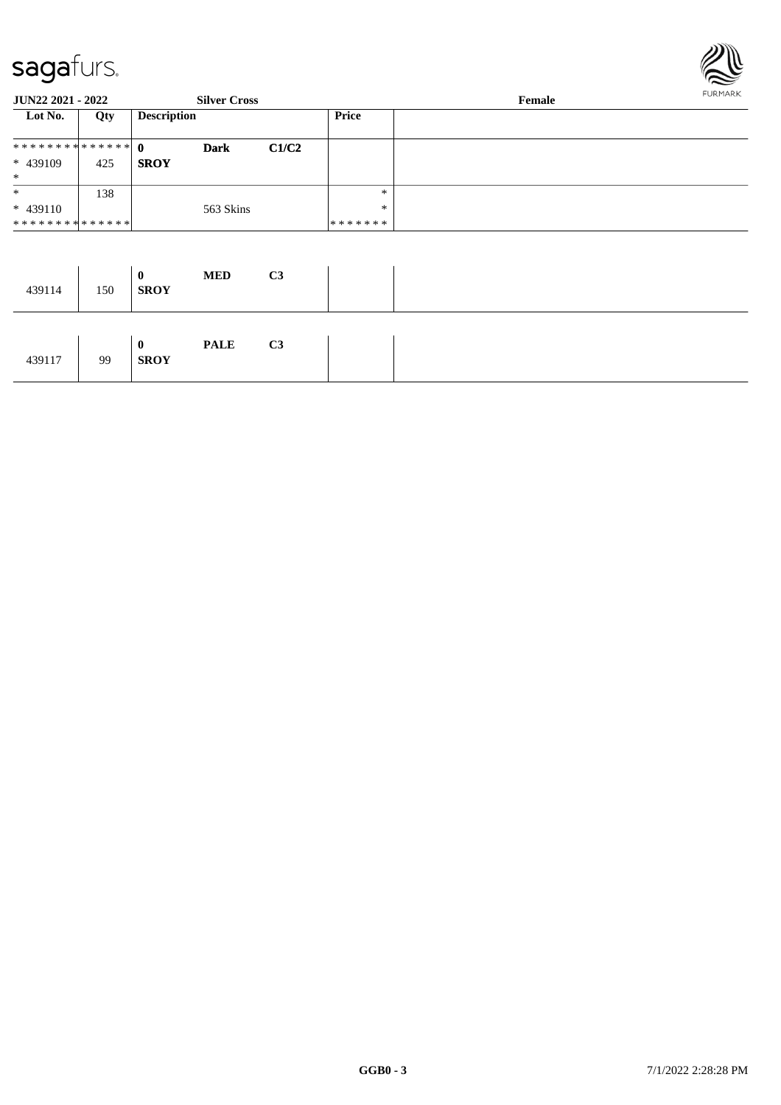

| JUN22 2021 - 2022 |     |                    | <b>Silver Cross</b> |       |              | Female | <b>FURMARK</b> |
|-------------------|-----|--------------------|---------------------|-------|--------------|--------|----------------|
| Lot No.           | Qty | <b>Description</b> |                     |       | <b>Price</b> |        |                |
| ************** 0  |     |                    | <b>Dark</b>         | C1/C2 |              |        |                |
| * 439109<br>$*$   | 425 | <b>SROY</b>        |                     |       |              |        |                |
| $\ast$            | 138 |                    |                     |       | $\ast$       |        |                |
| $* 439110$        |     |                    | 563 Skins           |       | $\ast$       |        |                |
| **************    |     |                    |                     |       | *******      |        |                |
|                   |     | $\mathbf{0}$       | <b>MED</b>          | C3    |              |        |                |
| 439114            | 150 | <b>SROY</b>        |                     |       |              |        |                |

| 439117 | 99 | $\boldsymbol{0}$<br><b>SROY</b> | <b>PALE</b> | C <sub>3</sub> |
|--------|----|---------------------------------|-------------|----------------|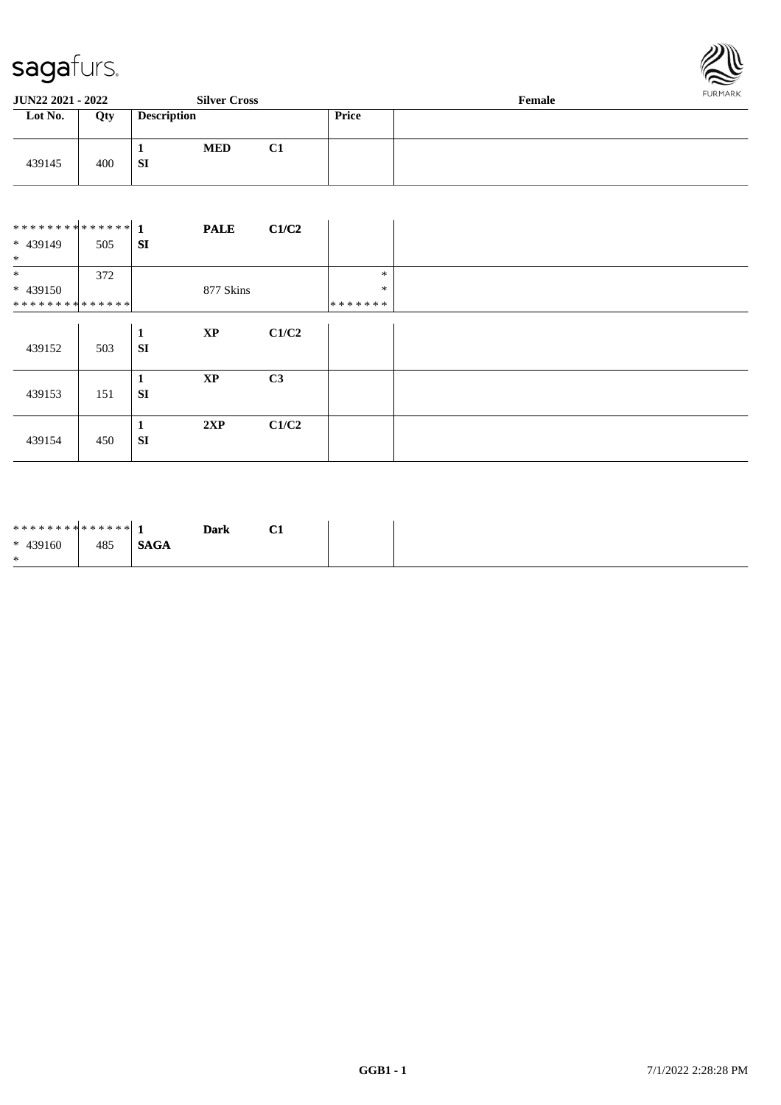

| <b>JUN22 2021 - 2022</b> |     |                    | <b>Silver Cross</b> |                |       | Female | <b>FURMARK</b> |
|--------------------------|-----|--------------------|---------------------|----------------|-------|--------|----------------|
| Lot No.                  | Qty | <b>Description</b> |                     |                | Price |        |                |
| 439145                   | 400 | л.<br>-SI          | <b>MED</b>          | C <sub>1</sub> |       |        |                |

|                 |     |              | <b>PALE</b> | C1/C2 |               |
|-----------------|-----|--------------|-------------|-------|---------------|
| * 439149<br>$*$ | 505 | SI           |             |       |               |
| $*$             | 372 |              |             |       | $\ast$        |
| $* 439150$      |     |              | 877 Skins   |       | $\ast$        |
| **************  |     |              |             |       | * * * * * * * |
|                 |     | $\mathbf{1}$ | $\bold{XP}$ | C1/C2 |               |
| 439152          | 503 | SI           |             |       |               |
|                 |     |              |             |       |               |
|                 |     | 1            | $\bold{XP}$ | C3    |               |
| 439153          | 151 | <b>SI</b>    |             |       |               |
|                 |     | 1            | 2XP         | C1/C2 |               |
| 439154          | 450 | <b>SI</b>    |             |       |               |

| ************** 1 |     |             | <b>Dark</b> | $\sim$<br>$\mathbf{u}$ |
|------------------|-----|-------------|-------------|------------------------|
| $* 439160$       | 485 | <b>SAGA</b> |             |                        |
| $\ast$           |     |             |             |                        |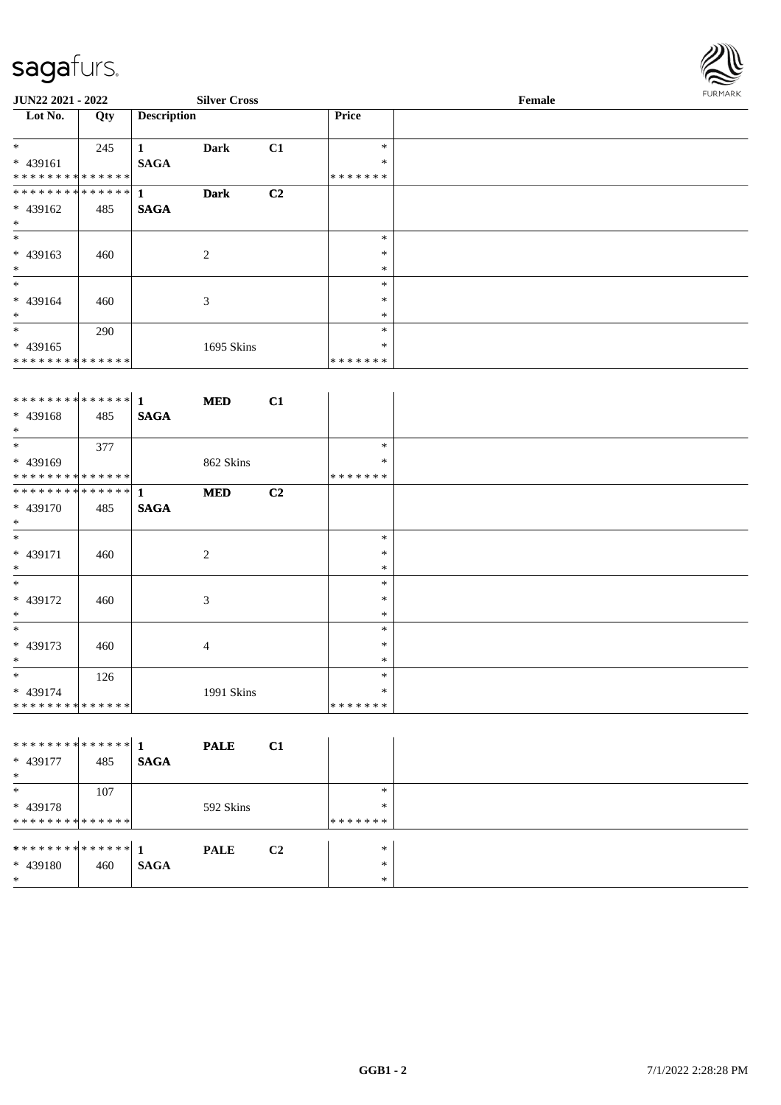\* \* \* \* \* \* \* \* \* \* \* \* \* \* \*



| <b>JUN22 2021 - 2022</b> |     | <b>Silver Cross</b> |             |                |              | <b>FURMARK</b> |  |
|--------------------------|-----|---------------------|-------------|----------------|--------------|----------------|--|
| Lot No.                  | Qty | <b>Description</b>  |             |                | <b>Price</b> |                |  |
| $\ast$                   | 245 |                     | Dark        | C1             | $\ast$       |                |  |
| $* 439161$               |     | <b>SAGA</b>         |             |                | $\ast$       |                |  |
| **************           |     |                     |             |                | *******      |                |  |
| **************           |     | $\mathbf{1}$        | <b>Dark</b> | C <sub>2</sub> |              |                |  |
| $* 439162$               | 485 | <b>SAGA</b>         |             |                |              |                |  |
| $\ast$                   |     |                     |             |                |              |                |  |
| $\ast$                   |     |                     |             |                | $\ast$       |                |  |
| $* 439163$               | 460 |                     | 2           |                | $\ast$       |                |  |
| $\ast$                   |     |                     |             |                | $\ast$       |                |  |
| $\ast$                   |     |                     |             |                | $\ast$       |                |  |
| $* 439164$               | 460 |                     | 3           |                | $\ast$       |                |  |
| $\ast$                   |     |                     |             |                | $\ast$       |                |  |
| $\ast$                   | 290 |                     |             |                | $\ast$       |                |  |
| $* 439165$               |     |                     | 1695 Skins  |                | $\ast$       |                |  |

\* \* \* \* \* \* \*

| ************** 1 |     |             | <b>MED</b>     | C1 |         |
|------------------|-----|-------------|----------------|----|---------|
| $* 439168$       | 485 | <b>SAGA</b> |                |    |         |
| $*$              |     |             |                |    |         |
| $*$              | 377 |             |                |    | $\ast$  |
| * 439169         |     |             | 862 Skins      |    | $\ast$  |
| **************   |     |             |                |    | ******* |
|                  |     |             | <b>MED</b>     | C2 |         |
| * 439170         | 485 | <b>SAGA</b> |                |    |         |
| $\ast$           |     |             |                |    |         |
| $*$              |     |             |                |    | *       |
| $* 439171$       | 460 |             | 2              |    | $\ast$  |
| $*$              |     |             |                |    | $\ast$  |
| $\ast$           |     |             |                |    | $\ast$  |
| * 439172         | 460 |             | 3              |    | $\ast$  |
| $\ast$           |     |             |                |    | $\ast$  |
| $*$              |     |             |                |    | $\ast$  |
| $* 439173$       | 460 |             | $\overline{4}$ |    | $\ast$  |
| $\ast$           |     |             |                |    | $\ast$  |
| $\ast$           | 126 |             |                |    | $\ast$  |
| * 439174         |     |             | 1991 Skins     |    | $\ast$  |
| **************   |     |             |                |    | ******* |

|                                |     |             | <b>PALE</b> | C1             |         |  |
|--------------------------------|-----|-------------|-------------|----------------|---------|--|
| * 439177                       | 485 | <b>SAGA</b> |             |                |         |  |
| $*$                            |     |             |             |                |         |  |
| $\ast$                         | 107 |             |             |                | $*$     |  |
| $* 439178$                     |     |             | 592 Skins   |                | $\ast$  |  |
| **************                 |     |             |             |                | ******* |  |
|                                |     |             |             |                |         |  |
| ******** <mark>******</mark> 1 |     |             | <b>PALE</b> | C <sub>2</sub> | $\ast$  |  |
| $* 439180$                     | 460 | <b>SAGA</b> |             |                | $\ast$  |  |
| $*$                            |     |             |             |                | $\ast$  |  |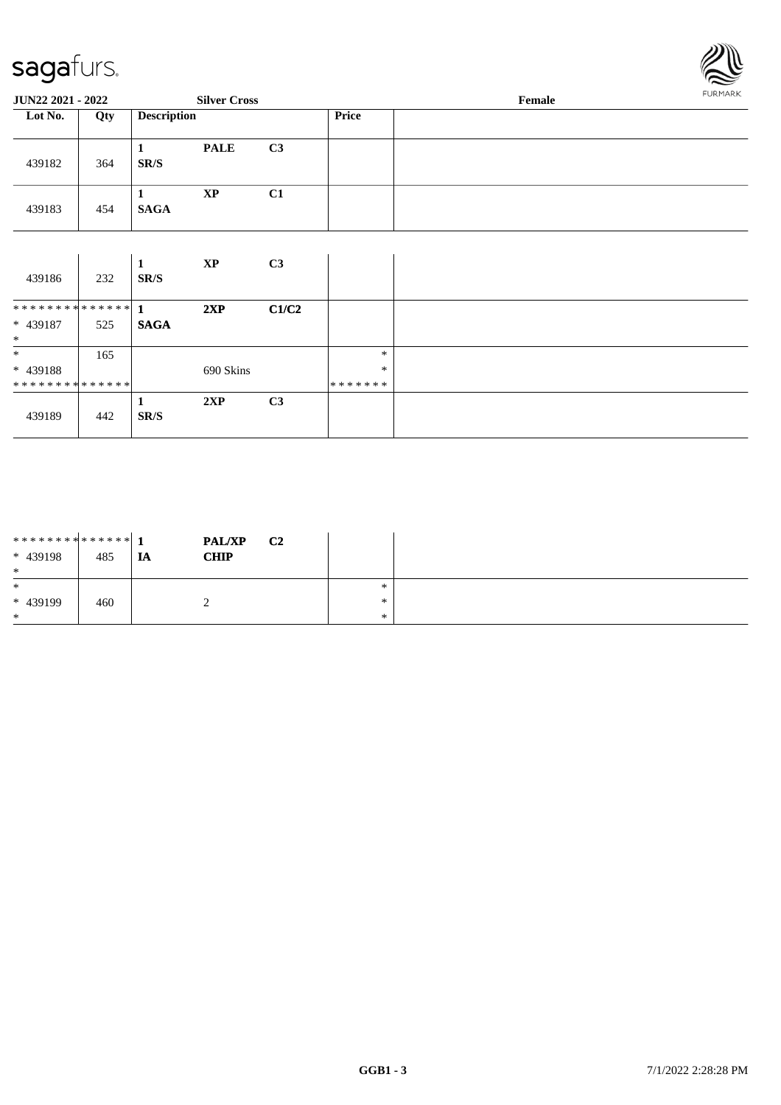

| JUN22 2021 - 2022                       |     |                    | <b>Silver Cross</b>    |       |                   | Female |  |  |
|-----------------------------------------|-----|--------------------|------------------------|-------|-------------------|--------|--|--|
| Lot No.                                 | Qty | <b>Description</b> |                        |       | Price             |        |  |  |
| 439182                                  | 364 | 1<br>SR/S          | <b>PALE</b>            | C3    |                   |        |  |  |
| 439183                                  | 454 | 1<br><b>SAGA</b>   | $\mathbf{X}\mathbf{P}$ | C1    |                   |        |  |  |
|                                         |     |                    |                        |       |                   |        |  |  |
| 439186                                  | 232 | 1<br>SR/S          | $\bold{XP}$            | C3    |                   |        |  |  |
| ************** 1                        |     |                    | 2XP                    | C1/C2 |                   |        |  |  |
| * 439187<br>$\ast$                      | 525 | <b>SAGA</b>        |                        |       |                   |        |  |  |
| $*$                                     | 165 |                    |                        |       | $\ast$            |        |  |  |
| * 439188<br>* * * * * * * * * * * * * * |     |                    | 690 Skins              |       | $\ast$<br>******* |        |  |  |
|                                         |     | 1                  | 2XP                    | C3    |                   |        |  |  |
| 439189                                  | 442 | SR/S               |                        |       |                   |        |  |  |

| ******** <mark>******</mark> 1<br>$* 439198$<br>$\ast$ | 485 | <b>IA</b> | <b>PAL/XP</b><br><b>CHIP</b> | C <sub>2</sub> |               |  |
|--------------------------------------------------------|-----|-----------|------------------------------|----------------|---------------|--|
| $\ast$<br>$* 439199$<br>$\ast$                         | 460 |           |                              |                | *<br>∗<br>$*$ |  |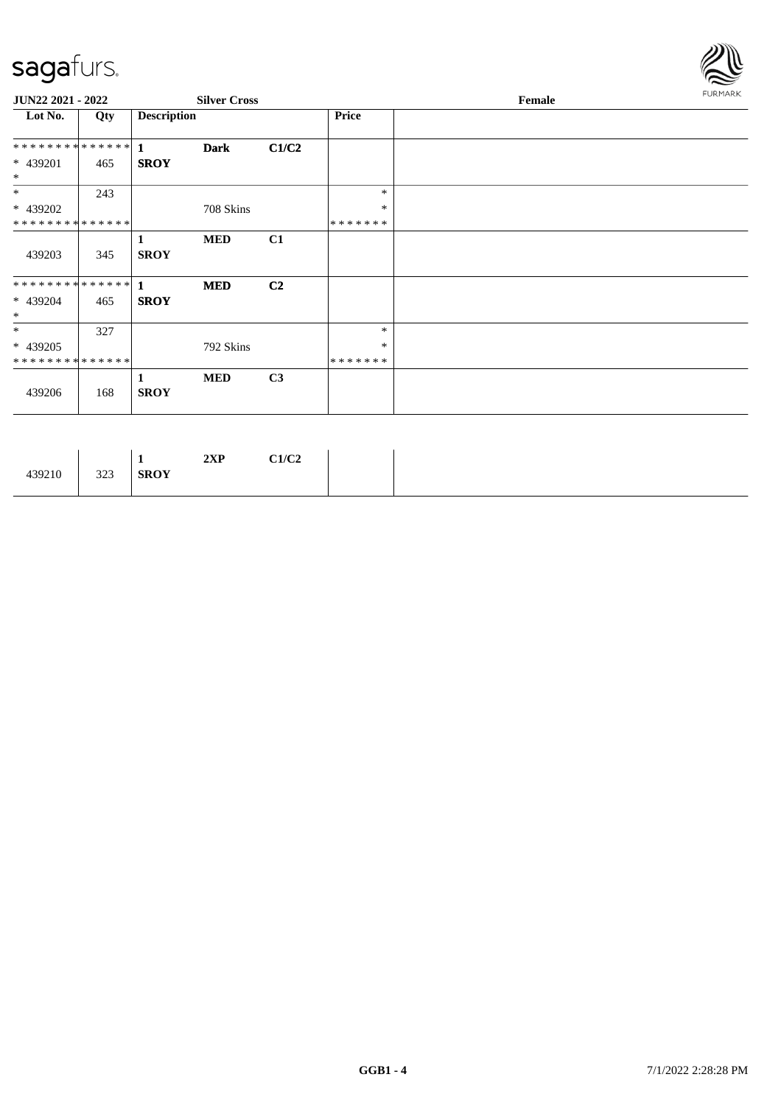

| JUN22 2021 - 2022           |     |                    | <b>Silver Cross</b> |                |         | Female |  |  |  |  |
|-----------------------------|-----|--------------------|---------------------|----------------|---------|--------|--|--|--|--|
| Lot No.                     | Qty | <b>Description</b> |                     |                | Price   |        |  |  |  |  |
| ************** 1            |     |                    | <b>Dark</b>         | C1/C2          |         |        |  |  |  |  |
| * 439201<br>$*$             | 465 | <b>SROY</b>        |                     |                |         |        |  |  |  |  |
| $*$                         | 243 |                    |                     |                | $\ast$  |        |  |  |  |  |
| * 439202                    |     |                    | 708 Skins           |                | $\ast$  |        |  |  |  |  |
| **************              |     |                    |                     |                | ******* |        |  |  |  |  |
| 439203                      | 345 | 1<br><b>SROY</b>   | <b>MED</b>          | C1             |         |        |  |  |  |  |
|                             |     |                    | <b>MED</b>          | C <sub>2</sub> |         |        |  |  |  |  |
| * 439204<br>$\ast$          | 465 | <b>SROY</b>        |                     |                |         |        |  |  |  |  |
| $*$                         | 327 |                    |                     |                | $\ast$  |        |  |  |  |  |
| * 439205                    |     |                    | 792 Skins           |                | $\ast$  |        |  |  |  |  |
| * * * * * * * * * * * * * * |     |                    |                     |                | ******* |        |  |  |  |  |
| 439206                      | 168 | 1<br><b>SROY</b>   | <b>MED</b>          | C3             |         |        |  |  |  |  |

|  | 323<br>439210 | C1/C2<br>2XP<br><b>SROY</b> |
|--|---------------|-----------------------------|
|--|---------------|-----------------------------|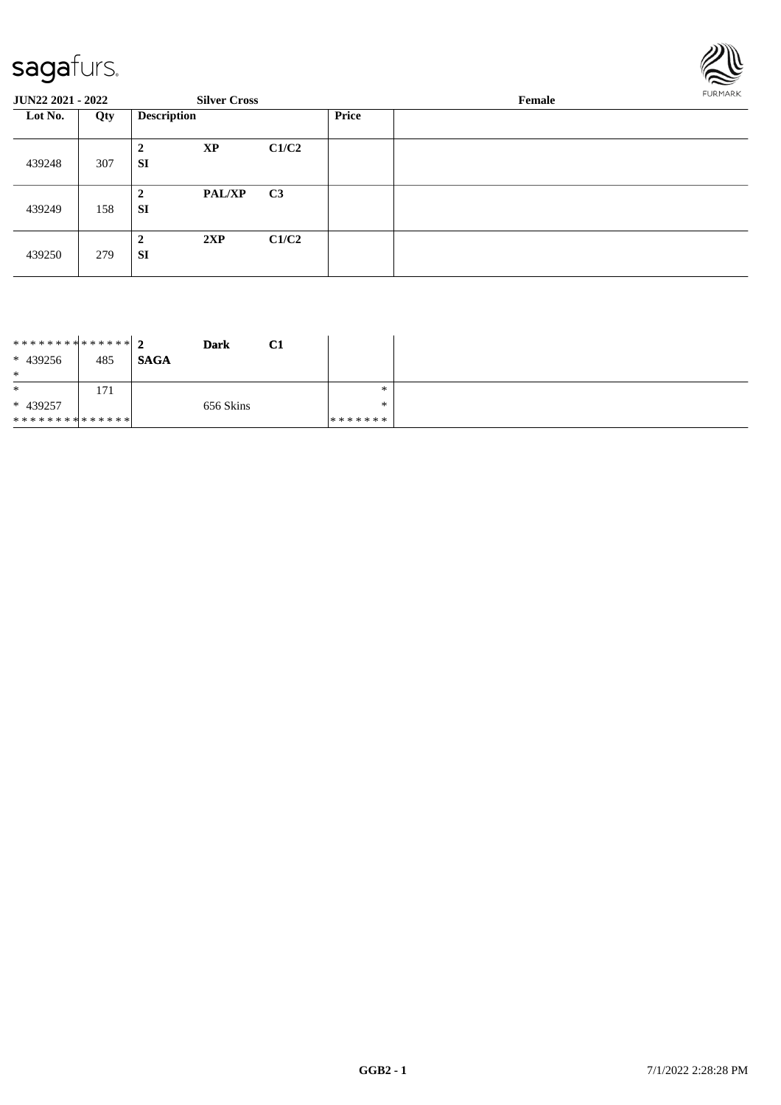

| <b>JUN22 2021 - 2022</b> |     |                             | <b>Silver Cross</b>             | FURMARK<br>Female |  |  |
|--------------------------|-----|-----------------------------|---------------------------------|-------------------|--|--|
| Lot No.                  | Qty | <b>Description</b>          |                                 | <b>Price</b>      |  |  |
| 439248                   | 307 | XP<br>$\overline{2}$<br>SI  | C1/C2                           |                   |  |  |
| 439249                   | 158 | $\overline{2}$<br><b>SI</b> | C <sub>3</sub><br><b>PAL/XP</b> |                   |  |  |
| 439250                   | 279 | 2XP<br>$\overline{2}$<br>SI | C1/C2                           |                   |  |  |

| ******** <mark>******</mark> 2<br>$* 439256$ | 485 | <b>Dark</b><br><b>SAGA</b> | C1 |         |
|----------------------------------------------|-----|----------------------------|----|---------|
| $\ast$                                       |     |                            |    |         |
| $\ast$                                       | 171 |                            |    | ∗       |
| $* 439257$                                   |     | 656 Skins                  |    | ∗       |
| * * * * * * * * * * * * * * *                |     |                            |    | ******* |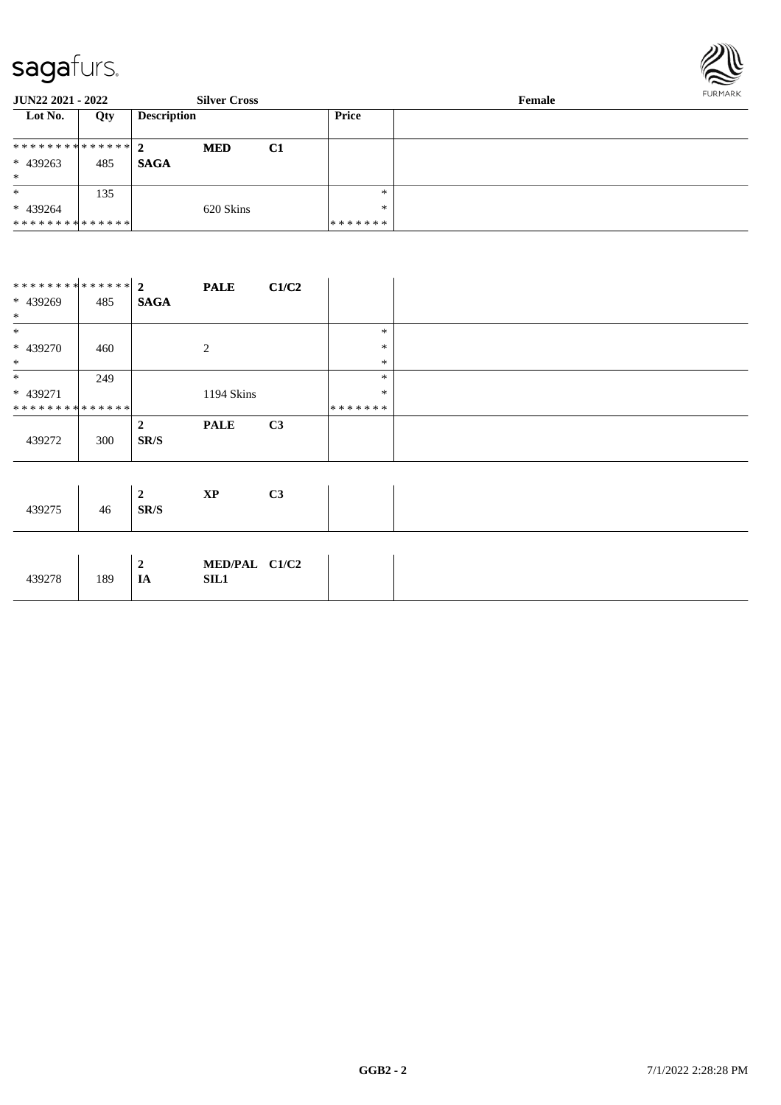

| <b>JUN22 2021 - 2022</b>       |     |                    | <b>Silver Cross</b> |    | Female  |  |  |
|--------------------------------|-----|--------------------|---------------------|----|---------|--|--|
| Lot No.                        | Qty | <b>Description</b> |                     |    | Price   |  |  |
| ******** <mark>******</mark> 2 |     |                    | <b>MED</b>          | C1 |         |  |  |
| * 439263                       | 485 | <b>SAGA</b>        |                     |    |         |  |  |
| $\ast$                         |     |                    |                     |    |         |  |  |
| $\ast$                         | 135 |                    |                     |    | $*$     |  |  |
| $* 439264$                     |     |                    | 620 Skins           |    | $*$     |  |  |
| * * * * * * * * * * * * * * *  |     |                    |                     |    | ******* |  |  |

|                               |     |             | <b>PALE</b> | C1/C2          |         |  |
|-------------------------------|-----|-------------|-------------|----------------|---------|--|
| * 439269                      | 485 | <b>SAGA</b> |             |                |         |  |
| $*$                           |     |             |             |                |         |  |
| $\ast$                        |     |             |             |                | $\ast$  |  |
| * 439270                      | 460 |             | 2           |                | $\ast$  |  |
| $*$                           |     |             |             |                | $\ast$  |  |
| $*$                           | 249 |             |             |                | $\ast$  |  |
| * 439271                      |     |             | 1194 Skins  |                | $\ast$  |  |
| * * * * * * * * * * * * * * * |     |             |             |                | ******* |  |
|                               |     | 2           | <b>PALE</b> | C <sub>3</sub> |         |  |
| 439272                        | 300 | SR/S        |             |                |         |  |
|                               |     |             |             |                |         |  |

| 439275 | 46  | 2<br>SR/S          | XP                           | C <sub>3</sub> |  |
|--------|-----|--------------------|------------------------------|----------------|--|
| 439278 | 189 | $\mathbf{2}$<br>IA | MED/PAL C1/C2<br><b>SIL1</b> |                |  |